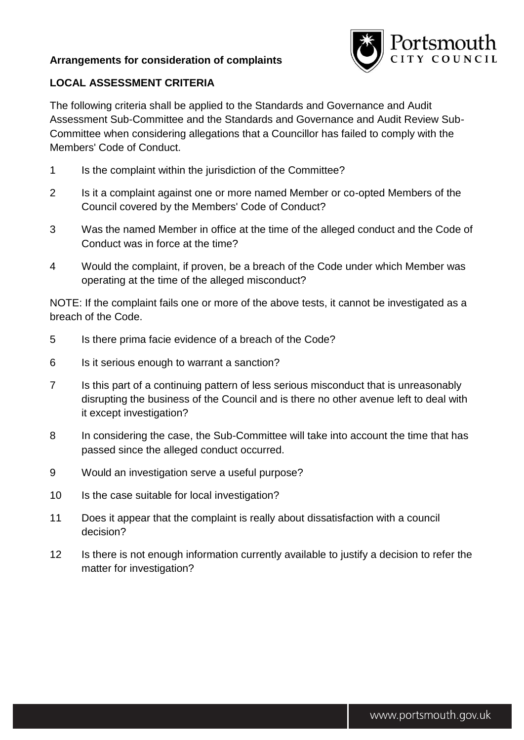## **Arrangements for consideration of complaints**



## **LOCAL ASSESSMENT CRITERIA**

The following criteria shall be applied to the Standards and Governance and Audit Assessment Sub-Committee and the Standards and Governance and Audit Review Sub-Committee when considering allegations that a Councillor has failed to comply with the Members' Code of Conduct.

- 1 Is the complaint within the jurisdiction of the Committee?
- 2 Is it a complaint against one or more named Member or co-opted Members of the Council covered by the Members' Code of Conduct?
- 3 Was the named Member in office at the time of the alleged conduct and the Code of Conduct was in force at the time?
- 4 Would the complaint, if proven, be a breach of the Code under which Member was operating at the time of the alleged misconduct?

NOTE: If the complaint fails one or more of the above tests, it cannot be investigated as a breach of the Code.

- 5 Is there prima facie evidence of a breach of the Code?
- 6 Is it serious enough to warrant a sanction?
- 7 Is this part of a continuing pattern of less serious misconduct that is unreasonably disrupting the business of the Council and is there no other avenue left to deal with it except investigation?
- 8 In considering the case, the Sub-Committee will take into account the time that has passed since the alleged conduct occurred.
- 9 Would an investigation serve a useful purpose?
- 10 Is the case suitable for local investigation?
- 11 Does it appear that the complaint is really about dissatisfaction with a council decision?
- 12 Is there is not enough information currently available to justify a decision to refer the matter for investigation?